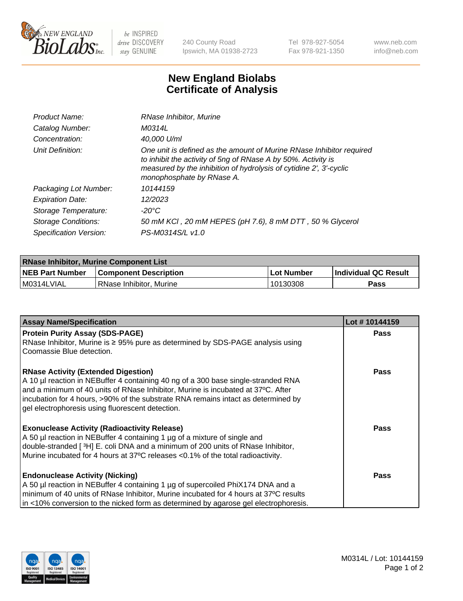

 $be$  INSPIRED drive DISCOVERY stay GENUINE

240 County Road Ipswich, MA 01938-2723 Tel 978-927-5054 Fax 978-921-1350 www.neb.com info@neb.com

## **New England Biolabs Certificate of Analysis**

| Product Name:           | RNase Inhibitor, Murine                                                                                                                                                                                                                  |
|-------------------------|------------------------------------------------------------------------------------------------------------------------------------------------------------------------------------------------------------------------------------------|
| Catalog Number:         | M0314L                                                                                                                                                                                                                                   |
| Concentration:          | 40,000 U/ml                                                                                                                                                                                                                              |
| Unit Definition:        | One unit is defined as the amount of Murine RNase Inhibitor required<br>to inhibit the activity of 5ng of RNase A by 50%. Activity is<br>measured by the inhibition of hydrolysis of cytidine 2', 3'-cyclic<br>monophosphate by RNase A. |
| Packaging Lot Number:   | 10144159                                                                                                                                                                                                                                 |
| <b>Expiration Date:</b> | 12/2023                                                                                                                                                                                                                                  |
| Storage Temperature:    | -20°C                                                                                                                                                                                                                                    |
| Storage Conditions:     | 50 mM KCI, 20 mM HEPES (pH 7.6), 8 mM DTT, 50 % Glycerol                                                                                                                                                                                 |
| Specification Version:  | PS-M0314S/L v1.0                                                                                                                                                                                                                         |

| <b>RNase Inhibitor, Murine Component List</b> |                              |             |                             |  |
|-----------------------------------------------|------------------------------|-------------|-----------------------------|--|
| <b>NEB Part Number</b>                        | <b>Component Description</b> | ⊥Lot Number | <b>Individual QC Result</b> |  |
| M0314LVIAL                                    | l RNase Inhibitor. Murine    | 10130308    | Pass                        |  |

| <b>Assay Name/Specification</b>                                                                                                                                    | Lot #10144159 |
|--------------------------------------------------------------------------------------------------------------------------------------------------------------------|---------------|
| <b>Protein Purity Assay (SDS-PAGE)</b>                                                                                                                             | <b>Pass</b>   |
| RNase Inhibitor, Murine is ≥ 95% pure as determined by SDS-PAGE analysis using                                                                                     |               |
| Coomassie Blue detection.                                                                                                                                          |               |
| <b>RNase Activity (Extended Digestion)</b>                                                                                                                         | <b>Pass</b>   |
| A 10 µl reaction in NEBuffer 4 containing 40 ng of a 300 base single-stranded RNA                                                                                  |               |
| and a minimum of 40 units of RNase Inhibitor, Murine is incubated at 37°C. After                                                                                   |               |
| incubation for 4 hours, >90% of the substrate RNA remains intact as determined by<br>gel electrophoresis using fluorescent detection.                              |               |
|                                                                                                                                                                    |               |
| <b>Exonuclease Activity (Radioactivity Release)</b>                                                                                                                | <b>Pass</b>   |
| A 50 µl reaction in NEBuffer 4 containing 1 µg of a mixture of single and                                                                                          |               |
| double-stranded [3H] E. coli DNA and a minimum of 200 units of RNase Inhibitor,<br>Murine incubated for 4 hours at 37°C releases <0.1% of the total radioactivity. |               |
|                                                                                                                                                                    |               |
| <b>Endonuclease Activity (Nicking)</b>                                                                                                                             | <b>Pass</b>   |
| A 50 µl reaction in NEBuffer 4 containing 1 µg of supercoiled PhiX174 DNA and a                                                                                    |               |
| minimum of 40 units of RNase Inhibitor, Murine incubated for 4 hours at 37°C results                                                                               |               |
| in <10% conversion to the nicked form as determined by agarose gel electrophoresis.                                                                                |               |